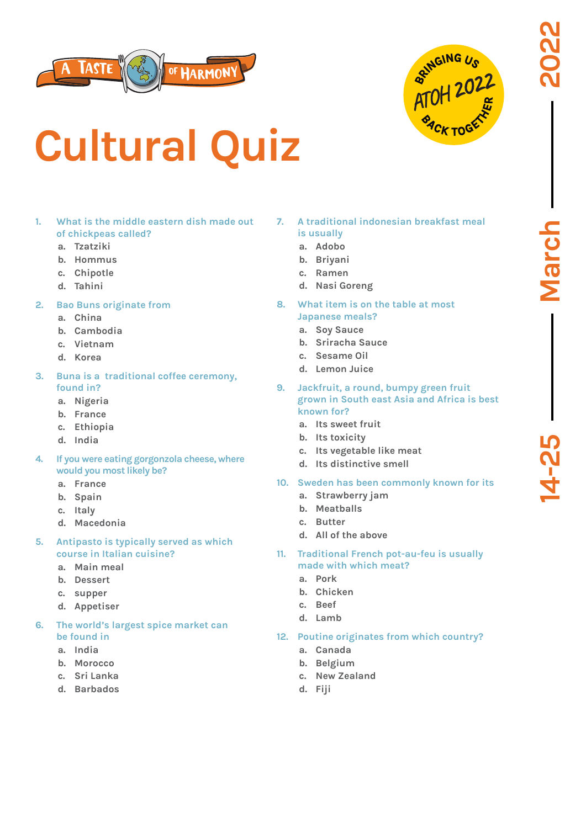



# **Cultural Quiz**

### **1. What is the middle eastern dish made out of chickpeas called?**

- **a. Tzatziki**
- **b. Hommus**
- **c. Chipotle**
- **d. Tahini**
- **2. Bao Buns originate from**
	- **a. China**
	- **b. Cambodia**
	- **c. Vietnam**
	- **d. Korea**
- **3. Buna is a traditional coffee ceremony, found in?**
	- **a. Nigeria**
	- **b. France**
	- **c. Ethiopia**
	- **d. India**
- **4. If you were eating gorgonzola cheese, where would you most likely be?**
	- **a. France**
	- **b. Spain**
	- **c. Italy**
	- **d. Macedonia**
- **5. Antipasto is typically served as which course in Italian cuisine?**
	- **a. Main meal**
	- **b. Dessert**
	- **c. supper**
	- **d. Appetiser**
- **6. The world's largest spice market can be found in**
	- **a. India**
	- **b. Morocco**
	- **c. Sri Lanka**
	- **d. Barbados**
- **7. A traditional indonesian breakfast meal is usually**
	- **a. Adobo**
	- **b. Briyani**
	- **c. Ramen**
	- **d. Nasi Goreng**
- **8. What item is on the table at most Japanese meals?**
	- **a. Soy Sauce**
	- **b. Sriracha Sauce**
	- **c. Sesame Oil**
	- **d. Lemon Juice**
- **9. Jackfruit, a round, bumpy green fruit grown in South east Asia and Africa is best known for?**
	- **a. Its sweet fruit**
	- **b. Its toxicity**
	- **c. Its vegetable like meat**
	- **d. Its distinctive smell**
- **10. Sweden has been commonly known for its**
	- **a. Strawberry jam**
	- **b. Meatballs**
	- **c. Butter**
	- **d. All of the above**
- **11. Traditional French pot-au-feu is usually made with which meat?**
	- **a. Pork**
	- **b. Chicken**
	- **c. Beef**
	- **d. Lamb**

#### **12. Poutine originates from which country?**

- **a. Canada**
- **b. Belgium**
- **c. New Zealand**
- **d. Fiji**

March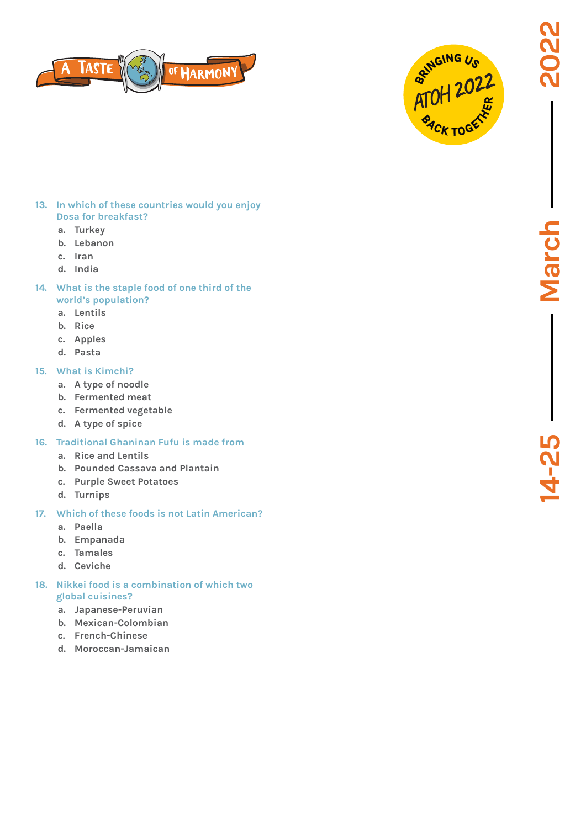**Marcl** 

йч<br>Ч





#### **13. In which of these countries would you enjoy Dosa for breakfast?**

- **a. Turkey**
- **b. Lebanon**
- **c. Iran**
- **d. India**
- **14. What is the staple food of one third of the world's population?**
	- **a. Lentils**
	- **b. Rice**
	- **c. Apples**
	- **d. Pasta**

## **15. What is Kimchi?**

- **a. A type of noodle**
- **b. Fermented meat**
- **c. Fermented vegetable**
- **d. A type of spice**
- **16. Traditional Ghaninan Fufu is made from**
	- **a. Rice and Lentils**
	- **b. Pounded Cassava and Plantain**
	- **c. Purple Sweet Potatoes**
	- **d. Turnips**
- **17. Which of these foods is not Latin American?**
	- **a. Paella**
	- **b. Empanada**
	- **c. Tamales**
	- **d. Ceviche**
- **18. Nikkei food is a combination of which two global cuisines?**
	- **a. Japanese-Peruvian**
	- **b. Mexican-Colombian**
	- **c. French-Chinese**
	- **d. Moroccan-Jamaican**